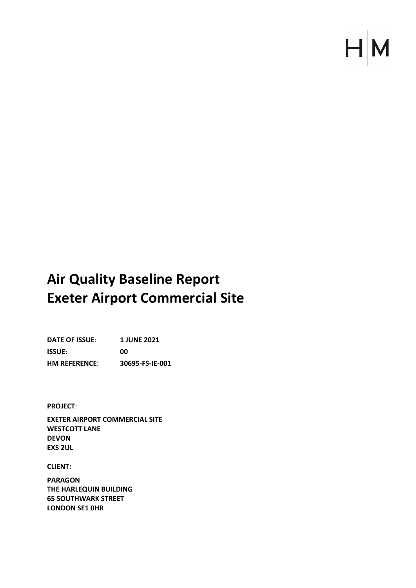# $\vdash$

# **Air Quality Baseline Report Exeter Airport Commercial Site**

**DATE OF ISSUE**: **1 JUNE 2021 ISSUE: 00 HM REFERENCE**: **30695-FS-IE-001**

**PROJECT**:

**EXETER AIRPORT COMMERCIAL SITE WESTCOTT LANE DEVON EX5 2UL**

**CLIENT:**

**PARAGON THE HARLEQUIN BUILDING 65 SOUTHWARK STREET LONDON SE1 0HR**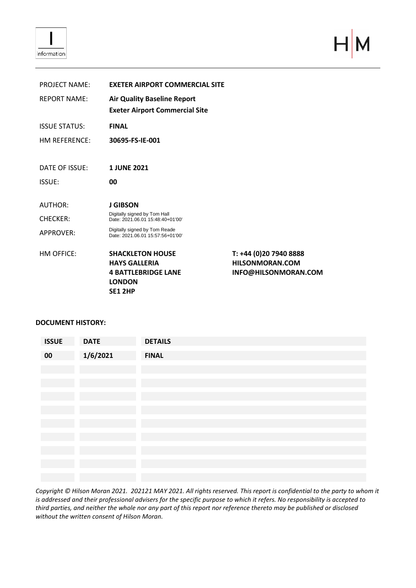

 $\mathsf{H}$ M

| <b>PROJECT NAME:</b> | <b>EXETER AIRPORT COMMERCIAL SITE</b>                             |                        |
|----------------------|-------------------------------------------------------------------|------------------------|
| <b>REPORT NAME:</b>  | <b>Air Quality Baseline Report</b>                                |                        |
|                      | <b>Exeter Airport Commercial Site</b>                             |                        |
| <b>ISSUE STATUS:</b> | <b>FINAL</b>                                                      |                        |
| HM REFERENCE:        | 30695-FS-IE-001                                                   |                        |
|                      |                                                                   |                        |
| DATE OF ISSUE:       | <b>1 JUNE 2021</b>                                                |                        |
| <b>ISSUE:</b>        | 00                                                                |                        |
|                      |                                                                   |                        |
| AUTHOR:              | <b>J GIBSON</b>                                                   |                        |
| <b>CHECKER:</b>      | Digitally signed by Tom Hall<br>Date: 2021.06.01 15:48:40+01'00'  |                        |
| <b>APPROVER:</b>     | Digitally signed by Tom Reade<br>Date: 2021.06.01 15:57:56+01'00' |                        |
|                      |                                                                   |                        |
| HM OFFICE:           | <b>SHACKLETON HOUSE</b>                                           | T: +44 (0)20 7940 8888 |
|                      | <b>HAYS GALLERIA</b>                                              | <b>HILSONMORAN.COM</b> |
|                      | <b>4 BATTLEBRIDGE LANE</b><br><b>LONDON</b>                       | INFO@HILSONMORAN.COM   |
|                      | <b>SE1 2HP</b>                                                    |                        |
|                      |                                                                   |                        |

## **DOCUMENT HISTORY:**

| <b>ISSUE</b> | <b>DATE</b> | <b>DETAILS</b> |
|--------------|-------------|----------------|
| 00           | 1/6/2021    | <b>FINAL</b>   |
|              |             |                |
|              |             |                |
|              |             |                |
|              |             |                |
|              |             |                |
|              |             |                |
|              |             |                |
|              |             |                |
|              |             |                |

*Copyright © Hilson Moran 2021. 202121 MAY 2021. All rights reserved. This report is confidential to the party to whom it is addressed and their professional advisers for the specific purpose to which it refers. No responsibility is accepted to third parties, and neither the whole nor any part of this report nor reference thereto may be published or disclosed without the written consent of Hilson Moran.*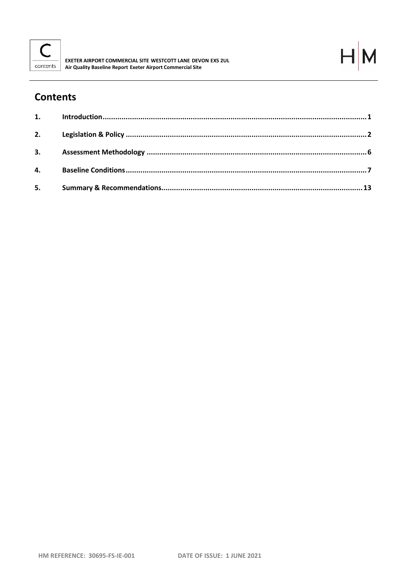



# **Contents**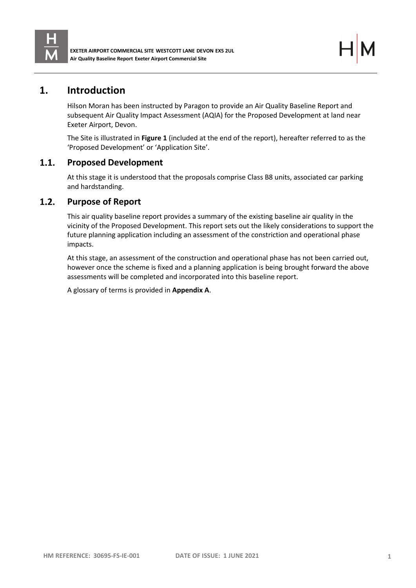

## <span id="page-3-0"></span>**1. Introduction**

Hilson Moran has been instructed by Paragon to provide an Air Quality Baseline Report and subsequent Air Quality Impact Assessment (AQIA) for the Proposed Development at land near Exeter Airport, Devon.

The Site is illustrated in **Figure 1** (included at the end of the report), hereafter referred to as the 'Proposed Development' or 'Application Site'.

#### $1.1.$ **Proposed Development**

At this stage it is understood that the proposals comprise Class B8 units, associated car parking and hardstanding.

#### $1.2.$ **Purpose of Report**

This air quality baseline report provides a summary of the existing baseline air quality in the vicinity of the Proposed Development. This report sets out the likely considerations to support the future planning application including an assessment of the constriction and operational phase impacts.

At this stage, an assessment of the construction and operational phase has not been carried out, however once the scheme is fixed and a planning application is being brought forward the above assessments will be completed and incorporated into this baseline report.

A glossary of terms is provided in **Appendix A**.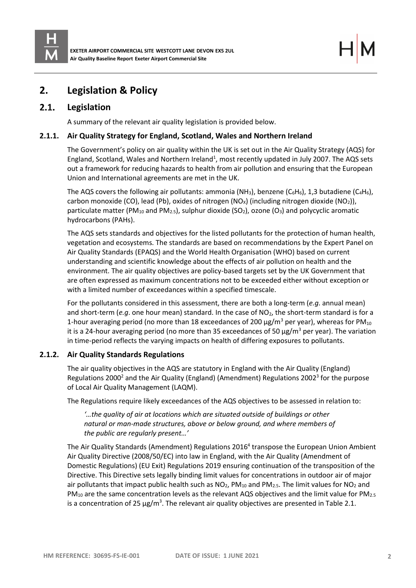

# <span id="page-4-0"></span>**2. Legislation & Policy**

#### $2.1.$ **Legislation**

A summary of the relevant air quality legislation is provided below.

#### **2.1.1. Air Quality Strategy for England, Scotland, Wales and Northern Ireland**

The Government's policy on air quality within the UK is set out in the Air Quality Strategy (AQS) for England, Scotland, Wales and Northern Ireland<sup>1</sup>, most recently updated in July 2007. The AQS sets out a framework for reducing hazards to health from air pollution and ensuring that the European Union and International agreements are met in the UK.

The AQS covers the following air pollutants: ammonia (NH<sub>3</sub>), benzene ( $C_6H_6$ ), 1,3 butadiene ( $C_4H_6$ ), carbon monoxide (CO), lead (Pb), oxides of nitrogen (NO<sub>x</sub>) (including nitrogen dioxide (NO<sub>2</sub>)), particulate matter (PM<sub>10</sub> and PM<sub>2.5</sub>), sulphur dioxide (SO<sub>2</sub>), ozone (O<sub>3</sub>) and polycyclic aromatic hydrocarbons (PAHs).

The AQS sets standards and objectives for the listed pollutants for the protection of human health, vegetation and ecosystems. The standards are based on recommendations by the Expert Panel on Air Quality Standards (EPAQS) and the World Health Organisation (WHO) based on current understanding and scientific knowledge about the effects of air pollution on health and the environment. The air quality objectives are policy-based targets set by the UK Government that are often expressed as maximum concentrations not to be exceeded either without exception or with a limited number of exceedances within a specified timescale.

For the pollutants considered in this assessment, there are both a long-term (*e.g*. annual mean) and short-term (*e.g.* one hour mean) standard. In the case of NO<sub>2</sub>, the short-term standard is for a 1-hour averaging period (no more than 18 exceedances of 200  $\mu$ g/m<sup>3</sup> per year), whereas for PM<sub>10</sub> it is a 24-hour averaging period (no more than 35 exceedances of 50  $\mu$ g/m<sup>3</sup> per year). The variation in time-period reflects the varying impacts on health of differing exposures to pollutants.

## **2.1.2. Air Quality Standards Regulations**

The air quality objectives in the AQS are statutory in England with the Air Quality (England) Regulations 2000<sup>2</sup> and the Air Quality (England) (Amendment) Regulations 2002<sup>3</sup> for the purpose of Local Air Quality Management (LAQM).

The Regulations require likely exceedances of the AQS objectives to be assessed in relation to:

*'…the quality of air at locations which are situated outside of buildings or other natural or man-made structures, above or below ground, and where members of the public are regularly present…'*

The Air Quality Standards (Amendment) Regulations 2016<sup>4</sup> transpose the European Union Ambient Air Quality Directive (2008/50/EC) into law in England, with the Air Quality (Amendment of Domestic Regulations) (EU Exit) Regulations 2019 ensuring continuation of the transposition of the Directive. This Directive sets legally binding limit values for concentrations in outdoor air of major air pollutants that impact public health such as  $NO<sub>2</sub>$ , PM<sub>10</sub> and PM<sub>2.5</sub>. The limit values for  $NO<sub>2</sub>$  and  $PM_{10}$  are the same concentration levels as the relevant AQS objectives and the limit value for PM<sub>2.5</sub> is a concentration of 25  $\mu$ g/m<sup>3</sup>. The relevant air quality objectives are presented in Table 2.1.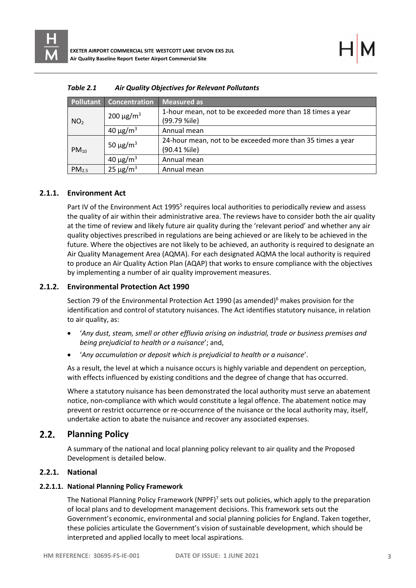|                   | <b>Pollutant Concentration</b> | <b>Measured as</b>                                                         |
|-------------------|--------------------------------|----------------------------------------------------------------------------|
| NO <sub>2</sub>   | 200 $\mu$ g/m <sup>3</sup>     | 1-hour mean, not to be exceeded more than 18 times a year<br>(99.79 %ile)  |
|                   | 40 $\mu$ g/m <sup>3</sup>      | Annual mean                                                                |
| $PM_{10}$         | 50 $\mu$ g/m <sup>3</sup>      | 24-hour mean, not to be exceeded more than 35 times a year<br>(90.41 %ile) |
|                   | 40 $\mu$ g/m <sup>3</sup>      | Annual mean                                                                |
| PM <sub>2.5</sub> | 25 $\mu$ g/m <sup>3</sup>      | Annual mean                                                                |

| Table 2.1 | Air Quality Objectives for Relevant Pollutants |
|-----------|------------------------------------------------|
|-----------|------------------------------------------------|

## **2.1.1. Environment Act**

Part IV of the Environment Act 1995<sup>5</sup> requires local authorities to periodically review and assess the quality of air within their administrative area. The reviews have to consider both the air quality at the time of review and likely future air quality during the 'relevant period' and whether any air quality objectives prescribed in regulations are being achieved or are likely to be achieved in the future. Where the objectives are not likely to be achieved, an authority is required to designate an Air Quality Management Area (AQMA). For each designated AQMA the local authority is required to produce an Air Quality Action Plan (AQAP) that works to ensure compliance with the objectives by implementing a number of air quality improvement measures.

#### **2.1.2. Environmental Protection Act 1990**

Section 79 of the Environmental Protection Act 1990 (as amended)<sup>6</sup> makes provision for the identification and control of statutory nuisances. The Act identifies statutory nuisance, in relation to air quality, as:

- '*Any dust, steam, smell or other effluvia arising on industrial, trade or business premises and being prejudicial to health or a nuisance*'; and,
- '*Any accumulation or deposit which is prejudicial to health or a nuisance*'.

As a result, the level at which a nuisance occurs is highly variable and dependent on perception, with effects influenced by existing conditions and the degree of change that has occurred.

Where a statutory nuisance has been demonstrated the local authority must serve an abatement notice, non-compliance with which would constitute a legal offence. The abatement notice may prevent or restrict occurrence or re-occurrence of the nuisance or the local authority may, itself, undertake action to abate the nuisance and recover any associated expenses.

#### $2.2.$ **Planning Policy**

A summary of the national and local planning policy relevant to air quality and the Proposed Development is detailed below.

## **2.2.1. National**

## **2.2.1.1. National Planning Policy Framework**

The National Planning Policy Framework (NPPF)<sup>7</sup> sets out policies, which apply to the preparation of local plans and to development management decisions. This framework sets out the Government's economic, environmental and social planning policies for England. Taken together, these policies articulate the Government's vision of sustainable development, which should be interpreted and applied locally to meet local aspirations.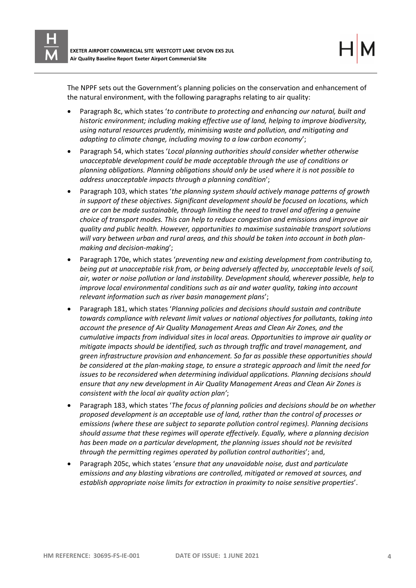The NPPF sets out the Government's planning policies on the conservation and enhancement of the natural environment, with the following paragraphs relating to air quality:

- Paragraph 8c, which states '*to contribute to protecting and enhancing our natural, built and historic environment; including making effective use of land, helping to improve biodiversity, using natural resources prudently, minimising waste and pollution, and mitigating and adapting to climate change, including moving to a low carbon economy*';
- Paragraph 54, which states '*Local planning authorities should consider whether otherwise unacceptable development could be made acceptable through the use of conditions or planning obligations. Planning obligations should only be used where it is not possible to address unacceptable impacts through a planning condition*';
- Paragraph 103, which states '*the planning system should actively manage patterns of growth in support of these objectives. Significant development should be focused on locations, which are or can be made sustainable, through limiting the need to travel and offering a genuine choice of transport modes. This can help to reduce congestion and emissions and improve air quality and public health. However, opportunities to maximise sustainable transport solutions will vary between urban and rural areas, and this should be taken into account in both planmaking and decision-making*';
- Paragraph 170e, which states '*preventing new and existing development from contributing to, being put at unacceptable risk from, or being adversely affected by, unacceptable levels of soil, air, water or noise pollution or land instability. Development should, wherever possible, help to improve local environmental conditions such as air and water quality, taking into account relevant information such as river basin management plans*';
- Paragraph 181, which states '*Planning policies and decisions should sustain and contribute towards compliance with relevant limit values or national objectives for pollutants, taking into account the presence of Air Quality Management Areas and Clean Air Zones, and the cumulative impacts from individual sites in local areas. Opportunities to improve air quality or mitigate impacts should be identified, such as through traffic and travel management, and green infrastructure provision and enhancement. So far as possible these opportunities should be considered at the plan-making stage, to ensure a strategic approach and limit the need for issues to be reconsidered when determining individual applications. Planning decisions should ensure that any new development in Air Quality Management Areas and Clean Air Zones is consistent with the local air quality action plan'*;
- Paragraph 183, which states '*The focus of planning policies and decisions should be on whether proposed development is an acceptable use of land, rather than the control of processes or emissions (where these are subject to separate pollution control regimes). Planning decisions should assume that these regimes will operate effectively. Equally, where a planning decision has been made on a particular development, the planning issues should not be revisited through the permitting regimes operated by pollution control authorities*'; and,
- Paragraph 205c, which states '*ensure that any unavoidable noise, dust and particulate emissions and any blasting vibrations are controlled, mitigated or removed at sources, and establish appropriate noise limits for extraction in proximity to noise sensitive properties*'.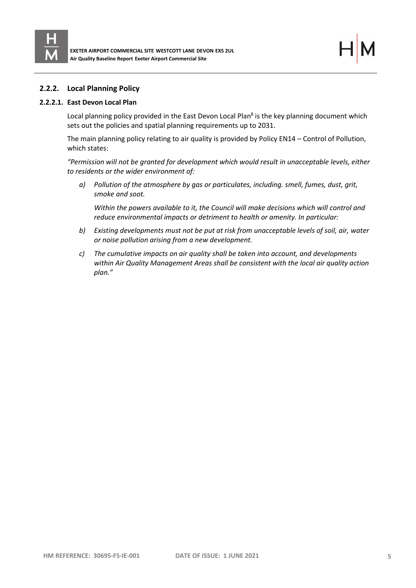

## **2.2.2. Local Planning Policy**

#### **2.2.2.1. East Devon Local Plan**

Local planning policy provided in the East Devon Local Plan<sup>8</sup> is the key planning document which sets out the policies and spatial planning requirements up to 2031.

The main planning policy relating to air quality is provided by Policy EN14 – Control of Pollution, which states:

*"Permission will not be granted for development which would result in unacceptable levels, either to residents or the wider environment of:*

*a) Pollution of the atmosphere by gas or particulates, including. smell, fumes, dust, grit, smoke and soot.*

*Within the powers available to it, the Council will make decisions which will control and reduce environmental impacts or detriment to health or amenity. In particular:*

- *b) Existing developments must not be put at risk from unacceptable levels of soil, air, water or noise pollution arising from a new development.*
- *c) The cumulative impacts on air quality shall be taken into account, and developments within Air Quality Management Areas shall be consistent with the local air quality action plan."*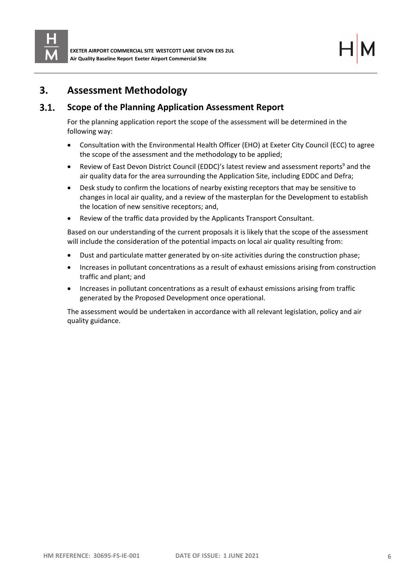

## <span id="page-8-0"></span>**3. Assessment Methodology**

#### $3.1.$ **Scope of the Planning Application Assessment Report**

For the planning application report the scope of the assessment will be determined in the following way:

- Consultation with the Environmental Health Officer (EHO) at Exeter City Council (ECC) to agree the scope of the assessment and the methodology to be applied;
- Review of East Devon District Council (EDDC)'s latest review and assessment reports<sup>9</sup> and the air quality data for the area surrounding the Application Site, including EDDC and Defra;
- Desk study to confirm the locations of nearby existing receptors that may be sensitive to changes in local air quality, and a review of the masterplan for the Development to establish the location of new sensitive receptors; and,
- Review of the traffic data provided by the Applicants Transport Consultant.

Based on our understanding of the current proposals it is likely that the scope of the assessment will include the consideration of the potential impacts on local air quality resulting from:

- Dust and particulate matter generated by on-site activities during the construction phase;
- Increases in pollutant concentrations as a result of exhaust emissions arising from construction traffic and plant; and
- Increases in pollutant concentrations as a result of exhaust emissions arising from traffic generated by the Proposed Development once operational.

The assessment would be undertaken in accordance with all relevant legislation, policy and air quality guidance.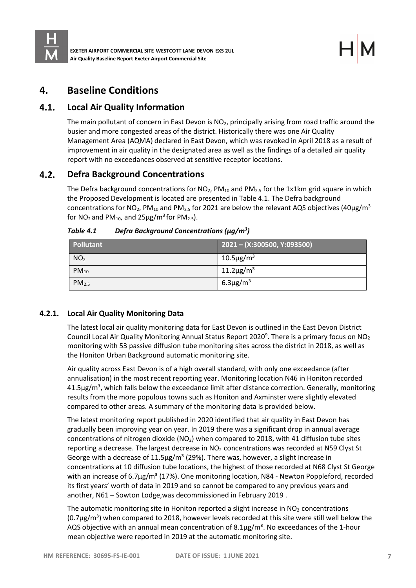

# <span id="page-9-0"></span>**4. Baseline Conditions**

#### $4.1.$ **Local Air Quality Information**

The main pollutant of concern in East Devon is NO<sub>2</sub>, principally arising from road traffic around the busier and more congested areas of the district. Historically there was one Air Quality Management Area (AQMA) declared in East Devon, which was revoked in April 2018 as a result of improvement in air quality in the designated area as well as the findings of a detailed air quality report with no exceedances observed at sensitive receptor locations.

#### $4.2.$ **Defra Background Concentrations**

The Defra background concentrations for  $NO<sub>2</sub>$ ,  $PM<sub>10</sub>$  and  $PM<sub>2.5</sub>$  for the 1x1km grid square in which the Proposed Development is located are presented in Table 4.1. The Defra background concentrations for NO<sub>2</sub>, PM<sub>10</sub> and PM<sub>2.5</sub> for 2021 are below the relevant AQS objectives (40µg/m<sup>3</sup> for  $NO_2$  and  $PM_{10}$ , and  $25\mu g/m^3$  for  $PM_{2.5}$ ).

| Pollutant         | $(2021 - (X:300500, Y:093500))$ |
|-------------------|---------------------------------|
| NO <sub>2</sub>   | $10.5 \mu g/m^3$                |
| $PM_{10}$         | $11.2 \mu g/m^3$                |
| PM <sub>2.5</sub> | $6.3 \mu g/m3$                  |

*Table 4.1 Defra Background Concentrations (µg/m<sup>3</sup> )*

## **4.2.1. Local Air Quality Monitoring Data**

The latest local air quality monitoring data for East Devon is outlined in the East Devon District Council Local Air Quality Monitoring Annual Status Report 2020<sup>9</sup>. There is a primary focus on NO<sub>2</sub> monitoring with 53 passive diffusion tube monitoring sites across the district in 2018, as well as the Honiton Urban Background automatic monitoring site.

Air quality across East Devon is of a high overall standard, with only one exceedance (after annualisation) in the most recent reporting year. Monitoring location N46 in Honiton recorded  $41.5\mu$ g/m<sup>3</sup>, which falls below the exceedance limit after distance correction. Generally, monitoring results from the more populous towns such as Honiton and Axminster were slightly elevated compared to other areas. A summary of the monitoring data is provided below.

The latest monitoring report published in 2020 identified that air quality in East Devon has gradually been improving year on year. In 2019 there was a significant drop in annual average concentrations of nitrogen dioxide  $(NO<sub>2</sub>)$  when compared to 2018, with 41 diffusion tube sites reporting a decrease. The largest decrease in  $NO<sub>2</sub>$  concentrations was recorded at N59 Clyst St George with a decrease of  $11.5\mu g/m^3$  (29%). There was, however, a slight increase in concentrations at 10 diffusion tube locations, the highest of those recorded at N68 Clyst St George with an increase of 6.7 $\mu$ g/m<sup>3</sup> (17%). One monitoring location, N84 - Newton Poppleford, recorded its first years' worth of data in 2019 and so cannot be compared to any previous years and another, N61 – Sowton Lodge,was decommissioned in February 2019 .

The automatic monitoring site in Honiton reported a slight increase in  $NO<sub>2</sub>$  concentrations  $(0.7\mu g/m<sup>3</sup>)$  when compared to 2018, however levels recorded at this site were still well below the AQS objective with an annual mean concentration of  $8.1\mu g/m<sup>3</sup>$ . No exceedances of the 1-hour mean objective were reported in 2019 at the automatic monitoring site.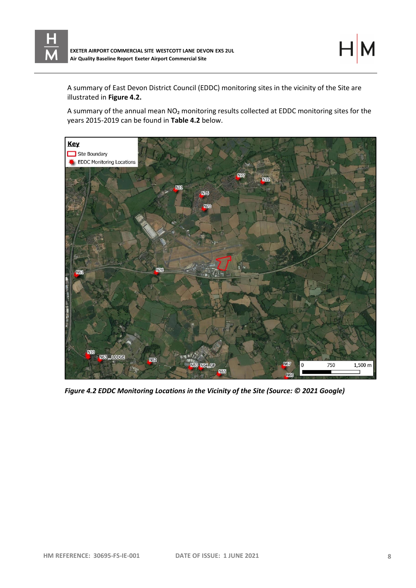

A summary of East Devon District Council (EDDC) monitoring sites in the vicinity of the Site are illustrated in **Figure 4.2.**

A summary of the annual mean NO<sub>2</sub> monitoring results collected at EDDC monitoring sites for the years 2015-2019 can be found in **Table 4.2** below.



*Figure 4.2 EDDC Monitoring Locations in the Vicinity of the Site (Source: © 2021 Google)*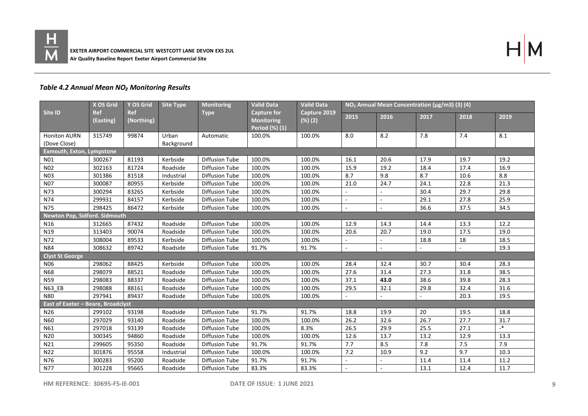



## *Table 4.2 Annual Mean NO₂ Monitoring Results*

|                                    | <b>Valid Data</b><br><b>X OS Grid</b><br>Y OS Grid<br><b>Site Type</b><br><b>Monitoring</b><br><b>Valid Data</b><br>NO <sub>2</sub> Annual Mean Concentration (µg/m3) (3) (4) |                          |                     |                       |                                                              |                               |        |        |      |      |         |
|------------------------------------|-------------------------------------------------------------------------------------------------------------------------------------------------------------------------------|--------------------------|---------------------|-----------------------|--------------------------------------------------------------|-------------------------------|--------|--------|------|------|---------|
| Site ID                            | <b>Ref</b><br>(Easting)                                                                                                                                                       | <b>Ref</b><br>(Northing) |                     | <b>Type</b>           | <b>Capture for</b><br><b>Monitoring</b><br>Period $(\%)$ (1) | Capture 2019<br>$(% )^{2}(2)$ | 2015   | 2016   | 2017 | 2018 | 2019    |
| Honiton AURN<br>(Dove Close)       | 315749                                                                                                                                                                        | 99874                    | Urban<br>Background | Automatic             | 100.0%                                                       | 100.0%                        | 8.0    | 8.2    | 7.8  | 7.4  | 8.1     |
| <b>Exmouth, Exton, Lympstone</b>   |                                                                                                                                                                               |                          |                     |                       |                                                              |                               |        |        |      |      |         |
| N01                                | 300267                                                                                                                                                                        | 81193                    | Kerbside            | <b>Diffusion Tube</b> | 100.0%                                                       | 100.0%                        | 16.1   | 20.6   | 17.9 | 19.7 | 19.2    |
| <b>N02</b>                         | 302163                                                                                                                                                                        | 81724                    | Roadside            | <b>Diffusion Tube</b> | 100.0%                                                       | 100.0%                        | 15.9   | 19.2   | 18.4 | 17.4 | 16.9    |
| N03                                | 301386                                                                                                                                                                        | 81518                    | Industrial          | <b>Diffusion Tube</b> | 100.0%                                                       | 100.0%                        | 8.7    | 9.8    | 8.7  | 10.6 | 8.8     |
| <b>N07</b>                         | 300087                                                                                                                                                                        | 80955                    | Kerbside            | <b>Diffusion Tube</b> | 100.0%                                                       | 100.0%                        | 21.0   | 24.7   | 24.1 | 22.8 | 21.3    |
| N73                                | 300294                                                                                                                                                                        | 83265                    | Kerbside            | <b>Diffusion Tube</b> | 100.0%                                                       | 100.0%                        |        |        | 30.4 | 29.7 | 29.8    |
| N74                                | 299931                                                                                                                                                                        | 84157                    | Kerbside            | <b>Diffusion Tube</b> | 100.0%                                                       | 100.0%                        | $\sim$ |        | 29.1 | 27.8 | 25.9    |
| N75                                | 298425                                                                                                                                                                        | 86472                    | Kerbside            | <b>Diffusion Tube</b> | 100.0%                                                       | 100.0%                        | $\sim$ | ÷.     | 36.6 | 37.5 | 34.5    |
| Newton Pop, Sidford. Sidmouth      |                                                                                                                                                                               |                          |                     |                       |                                                              |                               |        |        |      |      |         |
| N <sub>16</sub>                    | 312665                                                                                                                                                                        | 87432                    | Roadside            | <b>Diffusion Tube</b> | 100.0%                                                       | 100.0%                        | 12.9   | 14.3   | 14.4 | 13.3 | 12.2    |
| N19                                | 313403                                                                                                                                                                        | 90074                    | Roadside            | <b>Diffusion Tube</b> | 100.0%                                                       | 100.0%                        | 20.6   | 20.7   | 19.0 | 17.5 | 19.0    |
| N72                                | 308004                                                                                                                                                                        | 89533                    | Kerbside            | <b>Diffusion Tube</b> | 100.0%                                                       | 100.0%                        | $\sim$ | $\sim$ | 18.8 | 18   | 18.5    |
| <b>N84</b>                         | 308632                                                                                                                                                                        | 89742                    | Roadside            | <b>Diffusion Tube</b> | 91.7%                                                        | 91.7%                         | $\sim$ | ÷.     |      |      | 19.3    |
| <b>Clyst St George</b>             |                                                                                                                                                                               |                          |                     |                       |                                                              |                               |        |        |      |      |         |
| N06                                | 298062                                                                                                                                                                        | 88425                    | Kerbside            | <b>Diffusion Tube</b> | 100.0%                                                       | 100.0%                        | 28.4   | 32.4   | 30.7 | 30.4 | 28.3    |
| <b>N68</b>                         | 298079                                                                                                                                                                        | 88521                    | Roadside            | <b>Diffusion Tube</b> | 100.0%                                                       | 100.0%                        | 27.6   | 31.4   | 27.3 | 31.8 | 38.5    |
| <b>N59</b>                         | 298083                                                                                                                                                                        | 88337                    | Roadside            | <b>Diffusion Tube</b> | 100.0%                                                       | 100.0%                        | 37.1   | 43.0   | 38.6 | 39.8 | 28.3    |
| <b>N63 EB</b>                      | 298088                                                                                                                                                                        | 88161                    | Roadside            | <b>Diffusion Tube</b> | 100.0%                                                       | 100.0%                        | 29.5   | 32.1   | 29.8 | 32.4 | 31.6    |
| <b>N80</b>                         | 297941                                                                                                                                                                        | 89437                    | Roadside            | <b>Diffusion Tube</b> | 100.0%                                                       | 100.0%                        |        |        |      | 20.3 | 19.5    |
| East of Exeter - Beare, Broadclyst |                                                                                                                                                                               |                          |                     |                       |                                                              |                               |        |        |      |      |         |
| N26                                | 299102                                                                                                                                                                        | 93198                    | Roadside            | <b>Diffusion Tube</b> | 91.7%                                                        | 91.7%                         | 18.8   | 19.9   | 20   | 19.5 | 18.8    |
| N60                                | 297029                                                                                                                                                                        | 93140                    | Roadside            | <b>Diffusion Tube</b> | 100.0%                                                       | 100.0%                        | 26.2   | 32.6   | 26.7 | 27.7 | 31.7    |
| N61                                | 297018                                                                                                                                                                        | 93139                    | Roadside            | <b>Diffusion Tube</b> | 100.0%                                                       | 8.3%                          | 26.5   | 29.9   | 25.5 | 27.1 | $\cdot$ |
| N20                                | 300345                                                                                                                                                                        | 94860                    | Roadside            | <b>Diffusion Tube</b> | 100.0%                                                       | 100.0%                        | 12.6   | 13.7   | 13.2 | 12.9 | 13.3    |
| N21                                | 299605                                                                                                                                                                        | 95350                    | Roadside            | <b>Diffusion Tube</b> | 91.7%                                                        | 91.7%                         | 7.7    | 8.5    | 7.8  | 7.5  | 7.9     |
| N22                                | 301876                                                                                                                                                                        | 95558                    | Industrial          | <b>Diffusion Tube</b> | 100.0%                                                       | 100.0%                        | 7.2    | 10.9   | 9.2  | 9.7  | 10.3    |
| N76                                | 300283                                                                                                                                                                        | 95200                    | Roadside            | <b>Diffusion Tube</b> | 91.7%                                                        | 91.7%                         |        |        | 11.4 | 11.4 | 11.2    |
| N77                                | 301228                                                                                                                                                                        | 95665                    | Roadside            | <b>Diffusion Tube</b> | 83.3%                                                        | 83.3%                         |        |        | 13.1 | 12.4 | 11.7    |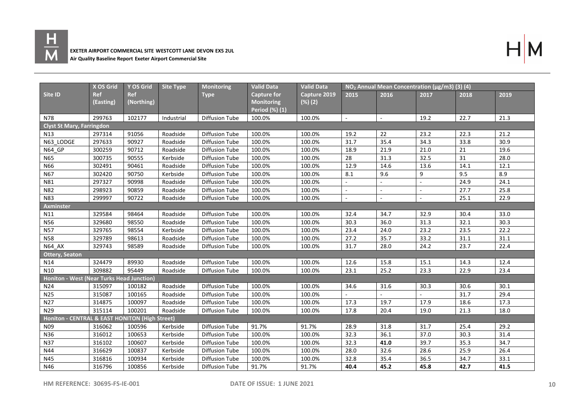



|                                                | X OS Grid               | Y OS Grid                | <b>Site Type</b> | <b>Monitoring</b>     | Valid Data                                                | <b>Valid Data</b>          | NO <sub>2</sub> Annual Mean Concentration (µg/m3) (3) (4) |                             |                |      |      |
|------------------------------------------------|-------------------------|--------------------------|------------------|-----------------------|-----------------------------------------------------------|----------------------------|-----------------------------------------------------------|-----------------------------|----------------|------|------|
| Site ID                                        | <b>Ref</b><br>(Easting) | <b>Ref</b><br>(Northing) |                  | <b>Type</b>           | <b>Capture for</b><br><b>Monitoring</b><br>Period (%) (1) | Capture 2019<br>$(\%) (2)$ | 2015                                                      | 2016                        | 2017           | 2018 | 2019 |
| N78                                            | 299763                  | 102177                   | Industrial       | <b>Diffusion Tube</b> | 100.0%                                                    | 100.0%                     | $\sim$                                                    | $\mathcal{L}_{\mathcal{A}}$ | 19.2           | 22.7 | 21.3 |
| <b>Clyst St Mary, Farringdon</b>               |                         |                          |                  |                       |                                                           |                            |                                                           |                             |                |      |      |
| N <sub>13</sub>                                | 297314                  | 91056                    | Roadside         | <b>Diffusion Tube</b> | 100.0%                                                    | 100.0%                     | 19.2                                                      | 22                          | 23.2           | 22.3 | 21.2 |
| N63 LODGE                                      | 297633                  | 90927                    | Roadside         | <b>Diffusion Tube</b> | 100.0%                                                    | 100.0%                     | 31.7                                                      | 35.4                        | 34.3           | 33.8 | 30.9 |
| N64 GP                                         | 300259                  | 90712                    | Roadside         | <b>Diffusion Tube</b> | 100.0%                                                    | 100.0%                     | 18.9                                                      | 21.9                        | 21.0           | 21   | 19.6 |
| <b>N65</b>                                     | 300735                  | 90555                    | Kerbside         | <b>Diffusion Tube</b> | 100.0%                                                    | 100.0%                     | 28                                                        | 31.3                        | 32.5           | 31   | 28.0 |
| N66                                            | 302491                  | 90461                    | Roadside         | <b>Diffusion Tube</b> | 100.0%                                                    | 100.0%                     | 12.9                                                      | 14.6                        | 13.6           | 14.1 | 12.1 |
| N67                                            | 302420                  | 90750                    | Kerbside         | <b>Diffusion Tube</b> | 100.0%                                                    | 100.0%                     | 8.1                                                       | 9.6                         | 9              | 9.5  | 8.9  |
| N81                                            | 297327                  | 90998                    | Roadside         | <b>Diffusion Tube</b> | 100.0%                                                    | 100.0%                     |                                                           | $\overline{a}$              | $\sim$         | 24.9 | 24.1 |
| <b>N82</b>                                     | 298923                  | 90859                    | Roadside         | Diffusion Tube        | 100.0%                                                    | 100.0%                     |                                                           | $\sim$                      | $\sim$         | 27.7 | 25.8 |
| N83                                            | 299997                  | 90722                    | Roadside         | <b>Diffusion Tube</b> | 100.0%                                                    | 100.0%                     | $\mathcal{L}_{\mathcal{A}}$                               | $\omega$                    | $\blacksquare$ | 25.1 | 22.9 |
| <b>Axminster</b>                               |                         |                          |                  |                       |                                                           |                            |                                                           |                             |                |      |      |
| N11                                            | 329584                  | 98464                    | Roadside         | <b>Diffusion Tube</b> | 100.0%                                                    | 100.0%                     | 32.4                                                      | 34.7                        | 32.9           | 30.4 | 33.0 |
| N56                                            | 329680                  | 98550                    | Roadside         | <b>Diffusion Tube</b> | 100.0%                                                    | 100.0%                     | 30.3                                                      | 36.0                        | 31.3           | 32.1 | 30.3 |
| <b>N57</b>                                     | 329765                  | 98554                    | Kerbside         | <b>Diffusion Tube</b> | 100.0%                                                    | 100.0%                     | 23.4                                                      | 24.0                        | 23.2           | 23.5 | 22.2 |
| <b>N58</b>                                     | 329789                  | 98613                    | Roadside         | <b>Diffusion Tube</b> | 100.0%                                                    | 100.0%                     | 27.2                                                      | 35.7                        | 33.2           | 31.1 | 31.1 |
| N64 AX                                         | 329743                  | 98589                    | Roadside         | Diffusion Tube        | 100.0%                                                    | 100.0%                     | 31.7                                                      | 28.0                        | 24.2           | 23.7 | 22.4 |
| <b>Ottery, Seaton</b>                          |                         |                          |                  |                       |                                                           |                            |                                                           |                             |                |      |      |
| N14                                            | 324479                  | 89930                    | Roadside         | Diffusion Tube        | 100.0%                                                    | 100.0%                     | 12.6                                                      | 15.8                        | 15.1           | 14.3 | 12.4 |
| N10                                            | 309882                  | 95449                    | Roadside         | <b>Diffusion Tube</b> | 100.0%                                                    | 100.0%                     | 23.1                                                      | 25.2                        | 23.3           | 22.9 | 23.4 |
| Honiton - West (Near Turks Head Junction)      |                         |                          |                  |                       |                                                           |                            |                                                           |                             |                |      |      |
| N24                                            | 315097                  | 100182                   | Roadside         | <b>Diffusion Tube</b> | 100.0%                                                    | 100.0%                     | 34.6                                                      | 31.6                        | 30.3           | 30.6 | 30.1 |
| N25                                            | 315087                  | 100165                   | Roadside         | Diffusion Tube        | 100.0%                                                    | 100.0%                     |                                                           |                             |                | 31.7 | 29.4 |
| N27                                            | 314875                  | 100097                   | Roadside         | <b>Diffusion Tube</b> | 100.0%                                                    | 100.0%                     | 17.3                                                      | 19.7                        | 17.9           | 18.6 | 17.3 |
| N29                                            | 315114                  | 100201                   | Roadside         | <b>Diffusion Tube</b> | 100.0%                                                    | 100.0%                     | 17.8                                                      | 20.4                        | 19.0           | 21.3 | 18.0 |
| Honiton - CENTRAL & EAST HONITON (High Street) |                         |                          |                  |                       |                                                           |                            |                                                           |                             |                |      |      |
| N09                                            | 316062                  | 100596                   | Kerbside         | <b>Diffusion Tube</b> | 91.7%                                                     | 91.7%                      | 28.9                                                      | 31.8                        | 31.7           | 25.4 | 29.2 |
| N36                                            | 316012                  | 100653                   | Kerbside         | <b>Diffusion Tube</b> | 100.0%                                                    | 100.0%                     | 32.3                                                      | 36.1                        | 37.0           | 30.3 | 31.4 |
| N37                                            | 316102                  | 100607                   | Kerbside         | <b>Diffusion Tube</b> | 100.0%                                                    | 100.0%                     | 32.3                                                      | 41.0                        | 39.7           | 35.3 | 34.7 |
| N44                                            | 316629                  | 100837                   | Kerbside         | <b>Diffusion Tube</b> | 100.0%                                                    | 100.0%                     | 28.0                                                      | 32.6                        | 28.6           | 25.9 | 26.4 |
| N45                                            | 316816                  | 100934                   | Kerbside         | <b>Diffusion Tube</b> | 100.0%                                                    | 100.0%                     | 32.8                                                      | 35.4                        | 36.5           | 34.7 | 33.1 |
| N46                                            | 316796                  | 100856                   | Kerbside         | <b>Diffusion Tube</b> | 91.7%                                                     | 91.7%                      | 40.4                                                      | 45.2                        | 45.8           | 42.7 | 41.5 |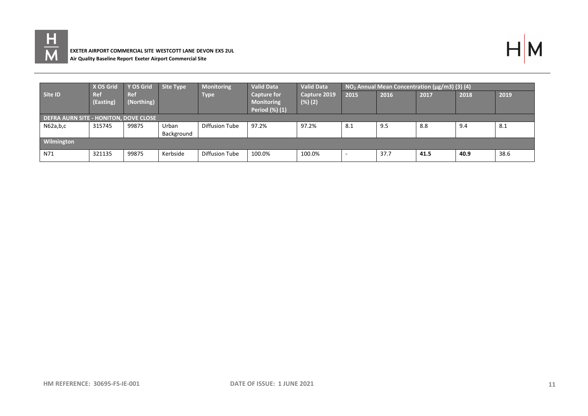



|                                       | X OS Grid        | Y OS Grid                | Site Type  | <b>Monitoring</b> | <b>Valid Data</b>                       | <b>Valid Data</b>          |      | $NO2$ Annual Mean Concentration ( $\mu$ g/m3) (3) (4) |      |      |      |
|---------------------------------------|------------------|--------------------------|------------|-------------------|-----------------------------------------|----------------------------|------|-------------------------------------------------------|------|------|------|
| Site ID                               | Ref<br>(Easting) | <b>Ref</b><br>(Northing) |            | Type              | <b>Capture for</b><br><b>Monitoring</b> | Capture 2019<br>$(\%) (2)$ | 2015 | 2016                                                  | 2017 | 2018 | 2019 |
|                                       |                  |                          |            |                   | Period (%) (1)                          |                            |      |                                                       |      |      |      |
| DEFRA AURN SITE - HONITON, DOVE CLOSE |                  |                          |            |                   |                                         |                            |      |                                                       |      |      |      |
| N62a,b,c                              | 315745           | 99875                    | Urban      | Diffusion Tube    | 97.2%                                   | 97.2%                      | 8.1  | 9.5                                                   | 8.8  | 9.4  | 8.1  |
|                                       |                  |                          | Background |                   |                                         |                            |      |                                                       |      |      |      |
| Wilmington                            |                  |                          |            |                   |                                         |                            |      |                                                       |      |      |      |
| N71                                   | 321135           | 99875                    | Kerbside   | Diffusion Tube    | 100.0%                                  | 100.0%                     | -    | 37.7                                                  | 41.5 | 40.9 | 38.6 |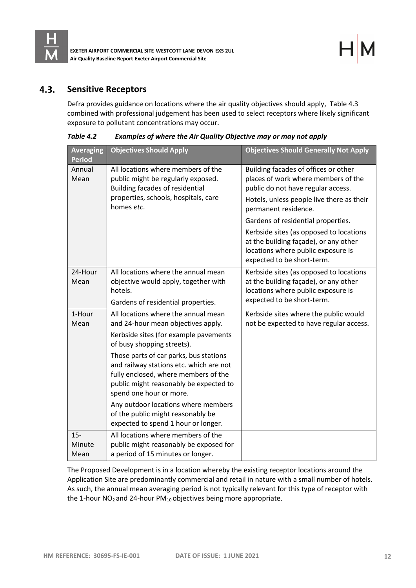

#### $4.3.$ **Sensitive Receptors**

Defra provides guidance on locations where the air quality objectives should apply, Table 4.3 combined with professional judgement has been used to select receptors where likely significant exposure to pollutant concentrations may occur.

| <b>Averaging</b><br><b>Period</b> | <b>Objectives Should Apply</b>                                                                                                                                                                 | <b>Objectives Should Generally Not Apply</b>                                                                                                         |
|-----------------------------------|------------------------------------------------------------------------------------------------------------------------------------------------------------------------------------------------|------------------------------------------------------------------------------------------------------------------------------------------------------|
| Annual<br>Mean                    | All locations where members of the<br>public might be regularly exposed.<br><b>Building facades of residential</b>                                                                             | Building facades of offices or other<br>places of work where members of the<br>public do not have regular access.                                    |
|                                   | properties, schools, hospitals, care<br>homes etc.                                                                                                                                             | Hotels, unless people live there as their<br>permanent residence.                                                                                    |
|                                   |                                                                                                                                                                                                | Gardens of residential properties.                                                                                                                   |
|                                   |                                                                                                                                                                                                | Kerbside sites (as opposed to locations<br>at the building façade), or any other<br>locations where public exposure is<br>expected to be short-term. |
| 24-Hour                           | All locations where the annual mean                                                                                                                                                            | Kerbside sites (as opposed to locations                                                                                                              |
| Mean                              | objective would apply, together with                                                                                                                                                           | at the building façade), or any other                                                                                                                |
|                                   | hotels.                                                                                                                                                                                        | locations where public exposure is<br>expected to be short-term.                                                                                     |
|                                   | Gardens of residential properties.                                                                                                                                                             |                                                                                                                                                      |
| 1-Hour<br>Mean                    | All locations where the annual mean<br>and 24-hour mean objectives apply.                                                                                                                      | Kerbside sites where the public would<br>not be expected to have regular access.                                                                     |
|                                   | Kerbside sites (for example pavements<br>of busy shopping streets).                                                                                                                            |                                                                                                                                                      |
|                                   | Those parts of car parks, bus stations<br>and railway stations etc. which are not<br>fully enclosed, where members of the<br>public might reasonably be expected to<br>spend one hour or more. |                                                                                                                                                      |
|                                   | Any outdoor locations where members<br>of the public might reasonably be<br>expected to spend 1 hour or longer.                                                                                |                                                                                                                                                      |
| $15-$                             | All locations where members of the                                                                                                                                                             |                                                                                                                                                      |
| Minute<br>Mean                    | public might reasonably be exposed for<br>a period of 15 minutes or longer.                                                                                                                    |                                                                                                                                                      |

*Table 4.2 Examples of where the Air Quality Objective may or may not apply*

The Proposed Development is in a location whereby the existing receptor locations around the Application Site are predominantly commercial and retail in nature with a small number of hotels. As such, the annual mean averaging period is not typically relevant for this type of receptor with the 1-hour  $NO<sub>2</sub>$  and 24-hour PM<sub>10</sub> objectives being more appropriate.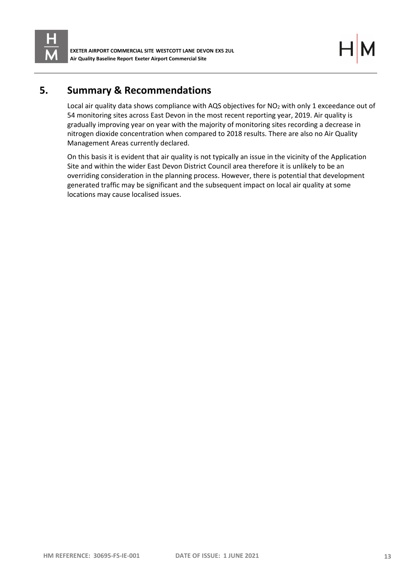

**EXETER AIRPORT COMMERCIAL SITE WESTCOTT LANE DEVON EX5 2UL Air Quality Baseline Report Exeter Airport Commercial Site**

# <span id="page-15-0"></span>**5. Summary & Recommendations**

Local air quality data shows compliance with AQS objectives for NO<sub>2</sub> with only 1 exceedance out of 54 monitoring sites across East Devon in the most recent reporting year, 2019. Air quality is gradually improving year on year with the majority of monitoring sites recording a decrease in nitrogen dioxide concentration when compared to 2018 results. There are also no Air Quality Management Areas currently declared.

On this basis it is evident that air quality is not typically an issue in the vicinity of the Application Site and within the wider East Devon District Council area therefore it is unlikely to be an overriding consideration in the planning process. However, there is potential that development generated traffic may be significant and the subsequent impact on local air quality at some locations may cause localised issues.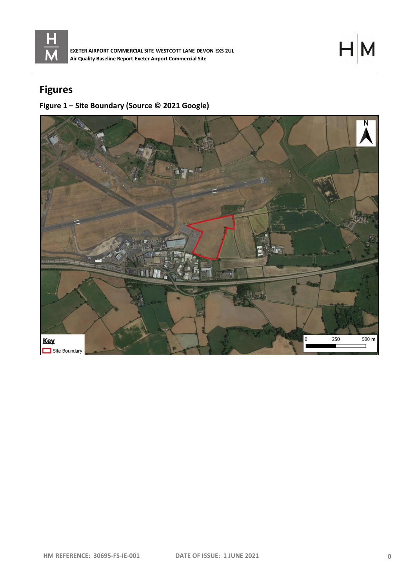

**EXETER AIRPORT COMMERCIAL SITE WESTCOTT LANE DEVON EX5 2UL Air Quality Baseline Report Exeter Airport Commercial Site**

# $H$

# **Figures**

# **Figure 1 – Site Boundary (Source © 2021 Google)**

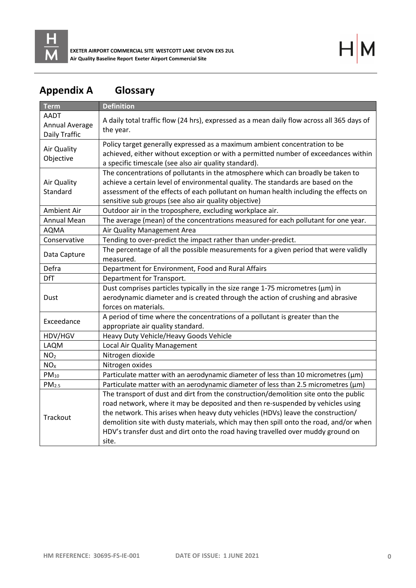

# **Appendix A Glossary**

| <b>Term</b>                             | <b>Definition</b>                                                                                                                                                                                                                                                                                                                                                                                                                                 |  |  |  |  |  |
|-----------------------------------------|---------------------------------------------------------------------------------------------------------------------------------------------------------------------------------------------------------------------------------------------------------------------------------------------------------------------------------------------------------------------------------------------------------------------------------------------------|--|--|--|--|--|
| AADT<br>Annual Average<br>Daily Traffic | A daily total traffic flow (24 hrs), expressed as a mean daily flow across all 365 days of<br>the year.                                                                                                                                                                                                                                                                                                                                           |  |  |  |  |  |
| Air Quality<br>Objective                | Policy target generally expressed as a maximum ambient concentration to be<br>achieved, either without exception or with a permitted number of exceedances within<br>a specific timescale (see also air quality standard).                                                                                                                                                                                                                        |  |  |  |  |  |
| Air Quality<br>Standard                 | The concentrations of pollutants in the atmosphere which can broadly be taken to<br>achieve a certain level of environmental quality. The standards are based on the<br>assessment of the effects of each pollutant on human health including the effects on<br>sensitive sub groups (see also air quality objective)                                                                                                                             |  |  |  |  |  |
| <b>Ambient Air</b>                      | Outdoor air in the troposphere, excluding workplace air.                                                                                                                                                                                                                                                                                                                                                                                          |  |  |  |  |  |
| Annual Mean                             | The average (mean) of the concentrations measured for each pollutant for one year.                                                                                                                                                                                                                                                                                                                                                                |  |  |  |  |  |
| <b>AQMA</b>                             | Air Quality Management Area                                                                                                                                                                                                                                                                                                                                                                                                                       |  |  |  |  |  |
| Conservative                            | Tending to over-predict the impact rather than under-predict.                                                                                                                                                                                                                                                                                                                                                                                     |  |  |  |  |  |
| Data Capture                            | The percentage of all the possible measurements for a given period that were validly<br>measured.                                                                                                                                                                                                                                                                                                                                                 |  |  |  |  |  |
| Defra                                   | Department for Environment, Food and Rural Affairs                                                                                                                                                                                                                                                                                                                                                                                                |  |  |  |  |  |
| <b>DfT</b>                              | Department for Transport.                                                                                                                                                                                                                                                                                                                                                                                                                         |  |  |  |  |  |
| Dust                                    | Dust comprises particles typically in the size range 1-75 micrometres ( $\mu$ m) in<br>aerodynamic diameter and is created through the action of crushing and abrasive<br>forces on materials.                                                                                                                                                                                                                                                    |  |  |  |  |  |
| Exceedance                              | A period of time where the concentrations of a pollutant is greater than the<br>appropriate air quality standard.                                                                                                                                                                                                                                                                                                                                 |  |  |  |  |  |
| HDV/HGV                                 | Heavy Duty Vehicle/Heavy Goods Vehicle                                                                                                                                                                                                                                                                                                                                                                                                            |  |  |  |  |  |
| LAQM                                    | Local Air Quality Management                                                                                                                                                                                                                                                                                                                                                                                                                      |  |  |  |  |  |
| NO <sub>2</sub>                         | Nitrogen dioxide                                                                                                                                                                                                                                                                                                                                                                                                                                  |  |  |  |  |  |
| NO <sub>X</sub>                         | Nitrogen oxides                                                                                                                                                                                                                                                                                                                                                                                                                                   |  |  |  |  |  |
| $PM_{10}$                               | Particulate matter with an aerodynamic diameter of less than 10 micrometres ( $\mu$ m)                                                                                                                                                                                                                                                                                                                                                            |  |  |  |  |  |
| PM <sub>2.5</sub>                       | Particulate matter with an aerodynamic diameter of less than 2.5 micrometres (µm)                                                                                                                                                                                                                                                                                                                                                                 |  |  |  |  |  |
| Trackout                                | The transport of dust and dirt from the construction/demolition site onto the public<br>road network, where it may be deposited and then re-suspended by vehicles using<br>the network. This arises when heavy duty vehicles (HDVs) leave the construction/<br>demolition site with dusty materials, which may then spill onto the road, and/or when<br>HDV's transfer dust and dirt onto the road having travelled over muddy ground on<br>site. |  |  |  |  |  |